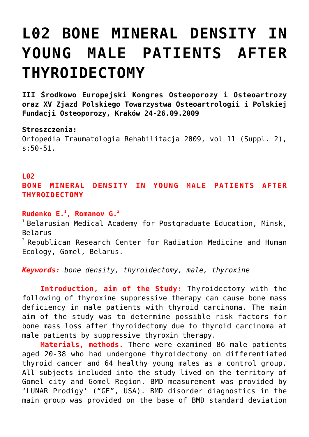## **[L02 BONE MINERAL DENSITY IN](https://osteoporoza.pl/bone-mineral-density-in-young-male-patients-after-thyroidectomy/) [YOUNG MALE PATIENTS AFTER](https://osteoporoza.pl/bone-mineral-density-in-young-male-patients-after-thyroidectomy/) [THYROIDECTOMY](https://osteoporoza.pl/bone-mineral-density-in-young-male-patients-after-thyroidectomy/)**

**III Środkowo Europejski Kongres Osteoporozy i Osteoartrozy oraz XV Zjazd Polskiego Towarzystwa Osteoartrologii i Polskiej Fundacji Osteoporozy, Kraków 24-26.09.2009**

## **Streszczenia:**

Ortopedia Traumatologia Rehabilitacja 2009, vol 11 (Suppl. 2), s:50-51.

## **L02**

**BONE MINERAL DENSITY IN YOUNG MALE PATIENTS AFTER THYROIDECTOMY**

**Rudenko E.<sup>1</sup> , Romanov G.<sup>2</sup>**

 $1$  Belarusian Medical Academy for Postgraduate Education, Minsk, Belarus

 $2$  Republican Research Center for Radiation Medicine and Human Ecology, Gomel, Belarus.

*Keywords: bone density, thyroidectomy, male, thyroxine*

**Introduction, aim of the Study:** Thyroidectomy with the following of thyroxine suppressive therapy can cause bone mass deficiency in male patients with thyroid carcinoma. The main aim of the study was to determine possible risk factors for bone mass loss after thyroidectomy due to thyroid carcinoma at male patients by suppressive thyroxin therapy.

**Materials, methods.** There were examined 86 male patients aged 20-38 who had undergone thyroidectomy on differentiated thyroid cancer and 64 healthy young males as a control group. All subjects included into the study lived on the territory of Gomel city and Gomel Region. BMD measurement was provided by 'LUNAR Prodigy' ("GE", USA). BMD disorder diagnostics in the main group was provided on the base of BMD standard deviation